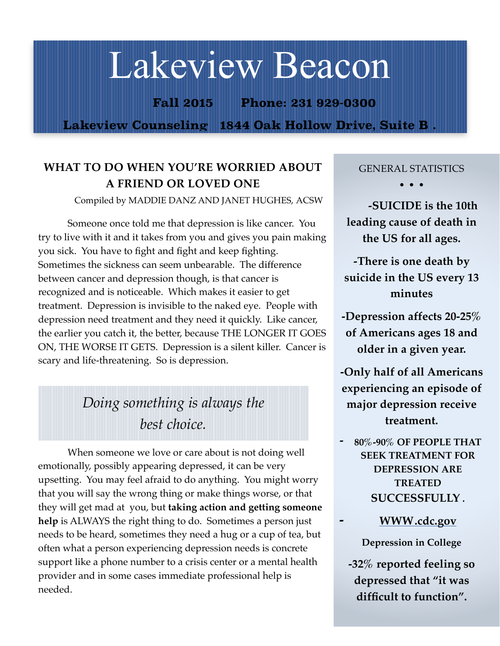# Lakeview Beacon

**Fall 2015 Phone: 231 929-0300**

**Lakeview Counseling 1844 Oak Hollow Drive, Suite B .** 

# **WHAT TO DO WHEN YOU'RE WORRIED ABOUT A FRIEND OR LOVED ONE**

Compiled by MADDIE DANZ AND JANET HUGHES, ACSW

Someone once told me that depression is like cancer. You try to live with it and it takes from you and gives you pain making you sick. You have to fight and fight and keep fighting. Sometimes the sickness can seem unbearable. The difference between cancer and depression though, is that cancer is recognized and is noticeable. Which makes it easier to get treatment. Depression is invisible to the naked eye. People with depression need treatment and they need it quickly. Like cancer, the earlier you catch it, the better, because THE LONGER IT GOES ON, THE WORSE IT GETS. Depression is a silent killer. Cancer is scary and life-threatening. So is depression.

# *Doing something is always the best choice.*

When someone we love or care about is not doing well emotionally, possibly appearing depressed, it can be very upsetting. You may feel afraid to do anything. You might worry that you will say the wrong thing or make things worse, or that they will get mad at you, but **taking action and getting someone help** is ALWAYS the right thing to do. Sometimes a person just needs to be heard, sometimes they need a hug or a cup of tea, but often what a person experiencing depression needs is concrete support like a phone number to a crisis center or a mental health provider and in some cases immediate professional help is needed.

#### GENERAL STATISTICS

**• • •**

 **-SUICIDE is the 10th leading cause of death in the US for all ages.**

**-There is one death by suicide in the US every 13 minutes**

**-Depression affects 20-25% of Americans ages 18 and older in a given year.**

**-Only half of all Americans experiencing an episode of major depression receive treatment.**

**- 80%-90% OF PEOPLE THAT SEEK TREATMENT FOR DEPRESSION ARE TREATED SUCCESSFULLY .**

**- [WWW.cdc.gov](http://WWW.cdc.gov)**

**Depression in College**

**-32% reported feeling so depressed that "it was difficult to function".**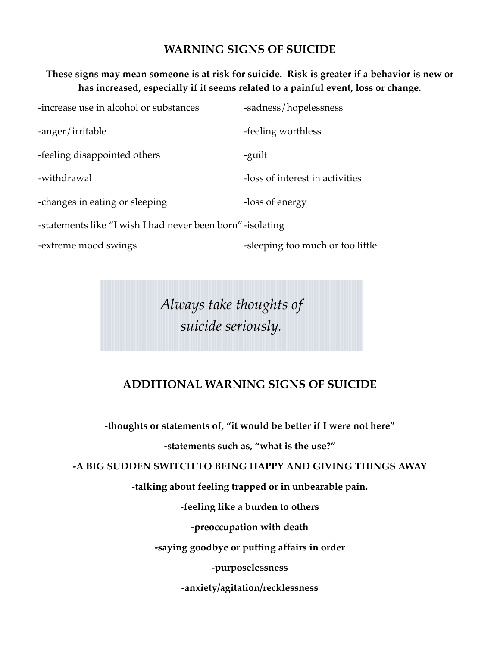### **WARNING SIGNS OF SUICIDE**

#### **These signs may mean someone is at risk for suicide. Risk is greater if a behavior is new or has increased, especially if it seems related to a painful event, loss or change.**

| -increase use in alcohol or substances                     | -sadness/hopelessness           |  |
|------------------------------------------------------------|---------------------------------|--|
| -anger/irritable                                           | -feeling worthless              |  |
| -feeling disappointed others                               | -guilt                          |  |
| -withdrawal                                                | -loss of interest in activities |  |
| -changes in eating or sleeping                             | -loss of energy                 |  |
| -statements like "I wish I had never been born" -isolating |                                 |  |
|                                                            |                                 |  |

-extreme mood swings **-**sleeping too much or too little

*Always take thoughts of suicide seriously.*

# **ADDITIONAL WARNING SIGNS OF SUICIDE**

**-thoughts or statements of, "it would be better if I were not here"**

**-statements such as, "what is the use?"**

**-A BIG SUDDEN SWITCH TO BEING HAPPY AND GIVING THINGS AWAY**

**-talking about feeling trapped or in unbearable pain.**

**-feeling like a burden to others**

**-preoccupation with death**

**-saying goodbye or putting affairs in order**

**-purposelessness**

**-anxiety/agitation/recklessness**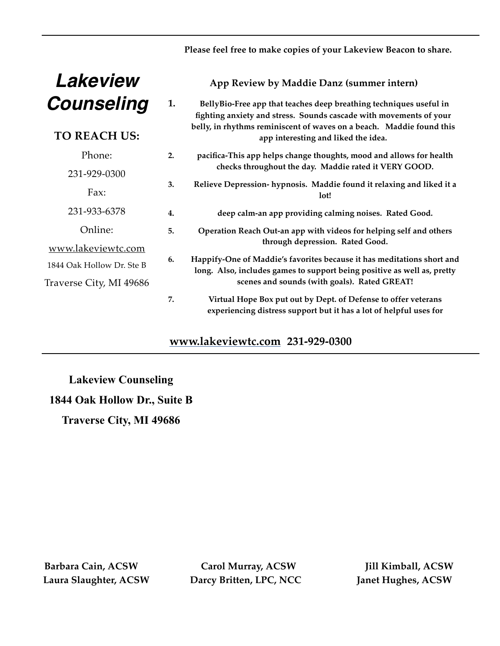#### **Please feel free to make copies of your Lakeview Beacon to share.**

| Lakeview                  |    | App Review by Maddie Danz (summer intern)                                                                                                         |
|---------------------------|----|---------------------------------------------------------------------------------------------------------------------------------------------------|
| <b>Counseling</b>         | 1. | BellyBio-Free app that teaches deep breathing techniques useful in<br>fighting anxiety and stress. Sounds cascade with movements of your          |
| <b>TO REACH US:</b>       |    | belly, in rhythms reminiscent of waves on a beach. Maddie found this<br>app interesting and liked the idea.                                       |
| Phone:                    | 2. | pacifica-This app helps change thoughts, mood and allows for health                                                                               |
| 231-929-0300              |    | checks throughout the day. Maddie rated it VERY GOOD.                                                                                             |
| Fax:                      | 3. | Relieve Depression- hypnosis. Maddie found it relaxing and liked it a<br>lot!                                                                     |
| 231-933-6378              | 4. | deep calm-an app providing calming noises. Rated Good.                                                                                            |
| Online:                   | 5. | Operation Reach Out-an app with videos for helping self and others                                                                                |
| www.lakeviewtc.com        |    | through depression. Rated Good.                                                                                                                   |
| 1844 Oak Hollow Dr. Ste B | 6. | Happify-One of Maddie's favorites because it has meditations short and<br>long. Also, includes games to support being positive as well as, pretty |
| Traverse City, MI 49686   |    | scenes and sounds (with goals). Rated GREAT!                                                                                                      |
|                           | 7. | Virtual Hope Box put out by Dept. of Defense to offer veterans<br>experiencing distress support but it has a lot of helpful uses for              |

# **[www.lakeviewtc.com](http://www.lakeviewtc.com) 231-929-0300**

**Lakeview Counseling 1844 Oak Hollow Dr., Suite B Traverse City, MI 49686**

 **Barbara Cain, ACSW Carol Murray, ACSW Jill Kimball, ACSW Laura Slaughter, ACSW Darcy Britten, LPC, NCC Janet Hughes, ACSW**